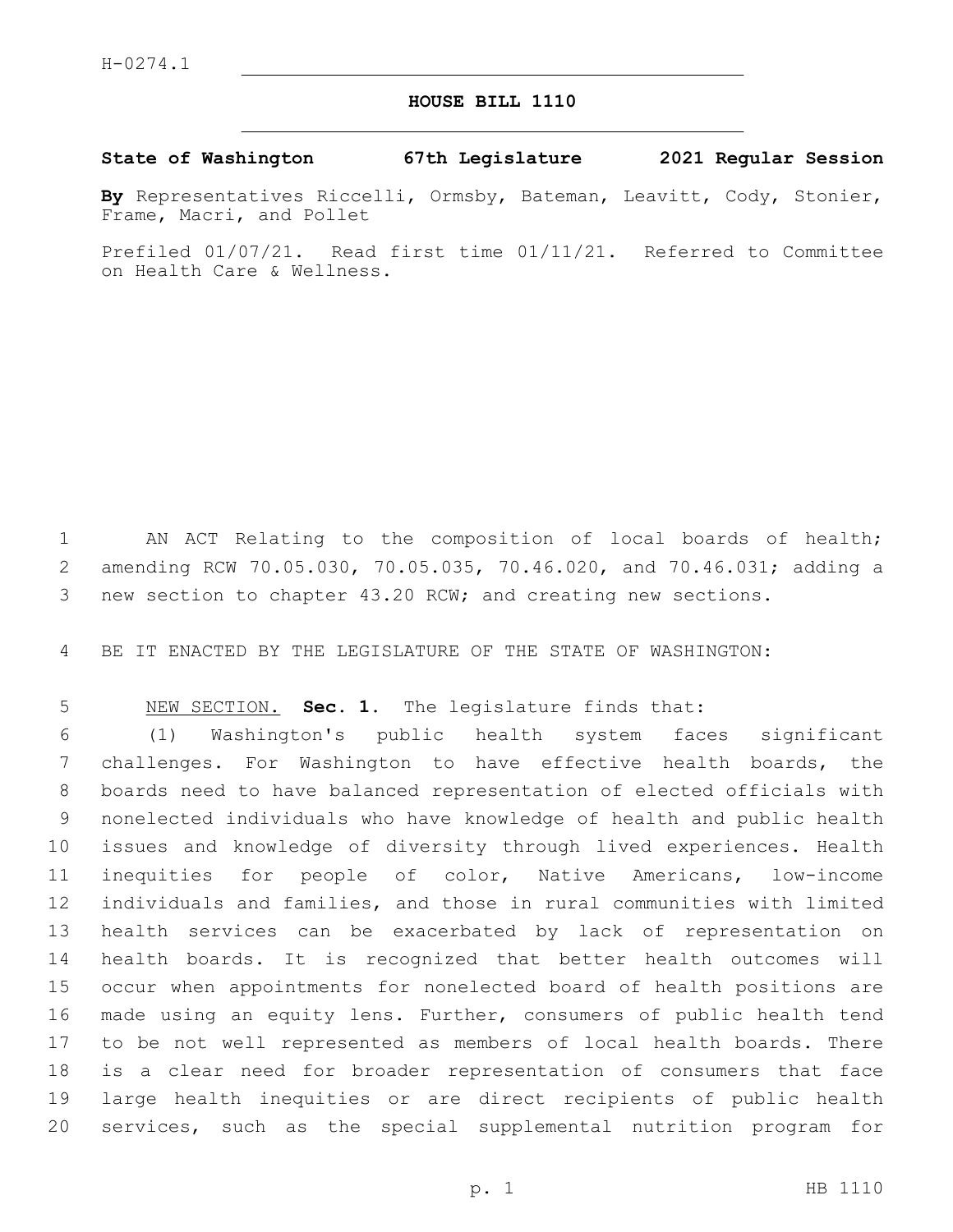## **HOUSE BILL 1110**

## **State of Washington 67th Legislature 2021 Regular Session**

**By** Representatives Riccelli, Ormsby, Bateman, Leavitt, Cody, Stonier, Frame, Macri, and Pollet

Prefiled 01/07/21. Read first time 01/11/21. Referred to Committee on Health Care & Wellness.

 AN ACT Relating to the composition of local boards of health; amending RCW 70.05.030, 70.05.035, 70.46.020, and 70.46.031; adding a new section to chapter 43.20 RCW; and creating new sections.

BE IT ENACTED BY THE LEGISLATURE OF THE STATE OF WASHINGTON:

NEW SECTION. **Sec. 1.** The legislature finds that:

 (1) Washington's public health system faces significant challenges. For Washington to have effective health boards, the boards need to have balanced representation of elected officials with nonelected individuals who have knowledge of health and public health issues and knowledge of diversity through lived experiences. Health inequities for people of color, Native Americans, low-income individuals and families, and those in rural communities with limited health services can be exacerbated by lack of representation on health boards. It is recognized that better health outcomes will occur when appointments for nonelected board of health positions are made using an equity lens. Further, consumers of public health tend to be not well represented as members of local health boards. There is a clear need for broader representation of consumers that face large health inequities or are direct recipients of public health services, such as the special supplemental nutrition program for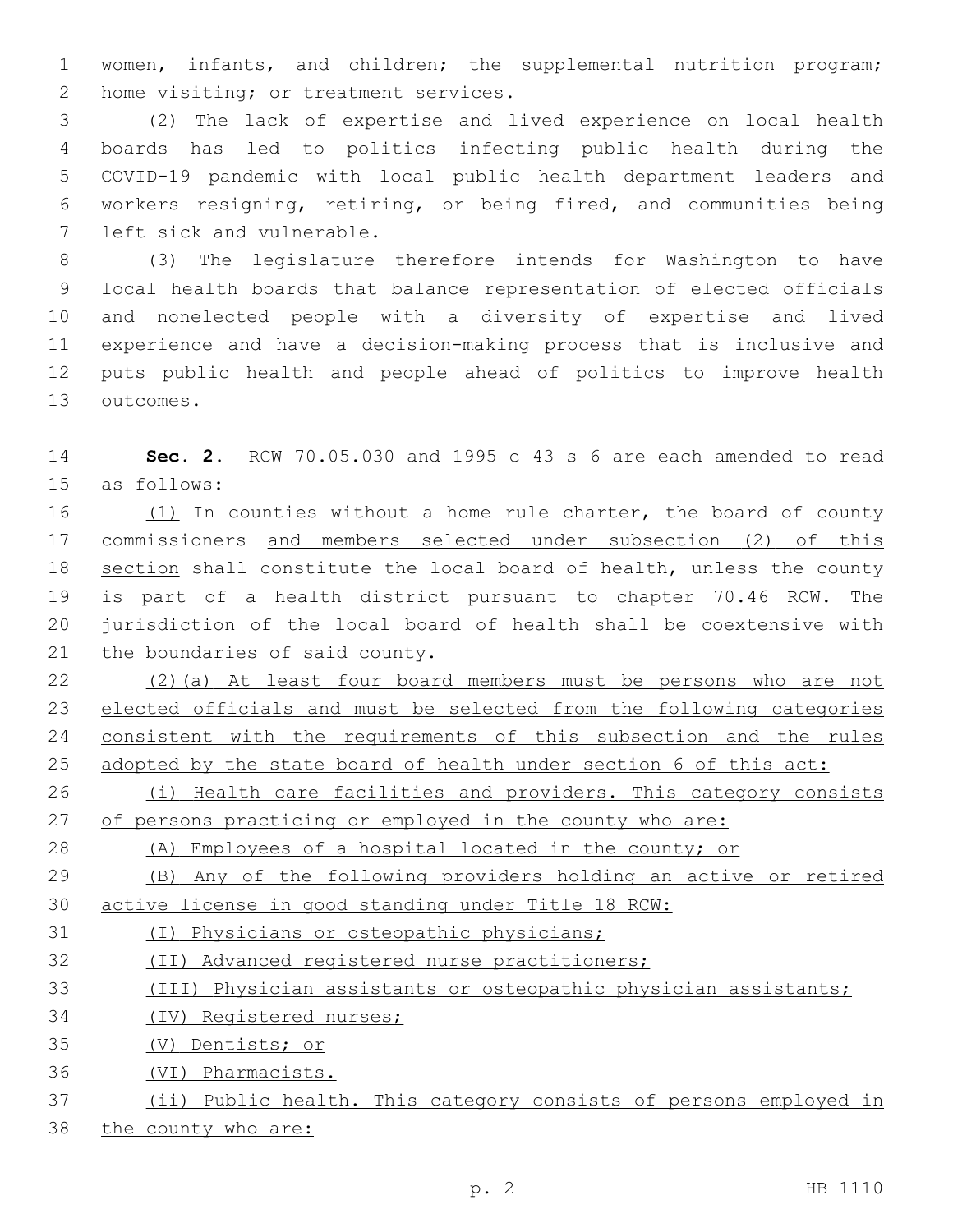women, infants, and children; the supplemental nutrition program; 2 home visiting; or treatment services.

 (2) The lack of expertise and lived experience on local health boards has led to politics infecting public health during the COVID-19 pandemic with local public health department leaders and workers resigning, retiring, or being fired, and communities being 7 left sick and vulnerable.

 (3) The legislature therefore intends for Washington to have local health boards that balance representation of elected officials and nonelected people with a diversity of expertise and lived experience and have a decision-making process that is inclusive and puts public health and people ahead of politics to improve health 13 outcomes.

 **Sec. 2.** RCW 70.05.030 and 1995 c 43 s 6 are each amended to read 15 as follows:

16 (1) In counties without a home rule charter, the board of county commissioners and members selected under subsection (2) of this section shall constitute the local board of health, unless the county is part of a health district pursuant to chapter 70.46 RCW. The jurisdiction of the local board of health shall be coextensive with 21 the boundaries of said county.

 (2)(a) At least four board members must be persons who are not elected officials and must be selected from the following categories 24 consistent with the requirements of this subsection and the rules adopted by the state board of health under section 6 of this act:

26 (i) Health care facilities and providers. This category consists 27 of persons practicing or employed in the county who are:

(A) Employees of a hospital located in the county; or

 (B) Any of the following providers holding an active or retired active license in good standing under Title 18 RCW:

(I) Physicians or osteopathic physicians;

(II) Advanced registered nurse practitioners;

(III) Physician assistants or osteopathic physician assistants;

(IV) Registered nurses;

(V) Dentists; or

(VI) Pharmacists.

(ii) Public health. This category consists of persons employed in

38 the county who are: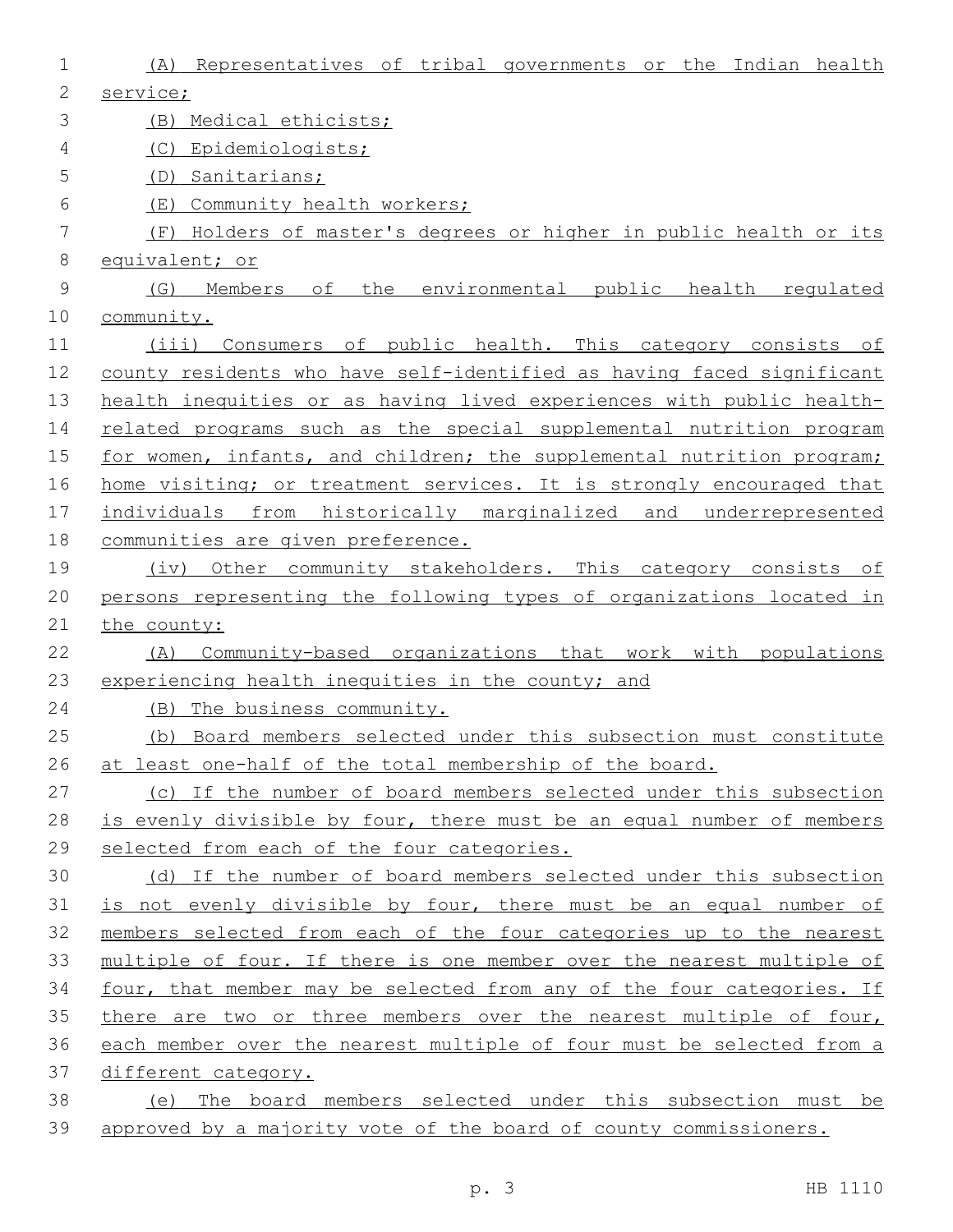| 1            | (A) Representatives of tribal governments or the Indian health        |
|--------------|-----------------------------------------------------------------------|
| $\mathbf{2}$ | service;                                                              |
| 3            | (B) Medical ethicists;                                                |
| 4            | Epidemiologists;<br>(C)                                               |
| 5            | Sanitarians;<br>(D)                                                   |
| 6            | Community health workers;<br>(E)                                      |
| 7            | (F) Holders of master's degrees or higher in public health or its     |
| 8            | equivalent; or                                                        |
| $\mathsf 9$  | Members of the environmental public health requlated<br>(G)           |
| 10           | community.                                                            |
| 11           | (iii) Consumers of public health. This category consists of           |
| 12           | county residents who have self-identified as having faced significant |
| 13           | health inequities or as having lived experiences with public health-  |
| 14           | related programs such as the special supplemental nutrition program   |
| 15           | for women, infants, and children; the supplemental nutrition program; |
| 16           | home visiting; or treatment services. It is strongly encouraged that  |
| 17           | individuals from historically marginalized and underrepresented       |
| 18           | communities are given preference.                                     |
| 19           | (iv) Other community stakeholders. This category consists of          |
| 20           | persons representing the following types of organizations located in  |
| 21           | the county:                                                           |
| 22           | Community-based organizations that work with populations<br>(A)       |
| 23           | experiencing health inequities in the county; and                     |
| 24           | The business community.<br>(B)                                        |
| 25           | (b) Board members selected under this subsection must constitute      |
| 26           | at least one-half of the total membership of the board.               |
| 27           | (c) If the number of board members selected under this subsection     |
| 28           | is evenly divisible by four, there must be an equal number of members |
| 29           | selected from each of the four categories.                            |
| 30           | (d) If the number of board members selected under this subsection     |
| 31           | is not evenly divisible by four, there must be an equal number of     |
| 32           | members selected from each of the four categories up to the nearest   |
| 33           | multiple of four. If there is one member over the nearest multiple of |
| 34           | four, that member may be selected from any of the four categories. If |
| 35           | there are two or three members over the nearest multiple of four,     |
| 36           | each member over the nearest multiple of four must be selected from a |
| 37           | different category.                                                   |
| 38           | (e) The board members selected under this subsection must be          |
| 39           | approved by a majority vote of the board of county commissioners.     |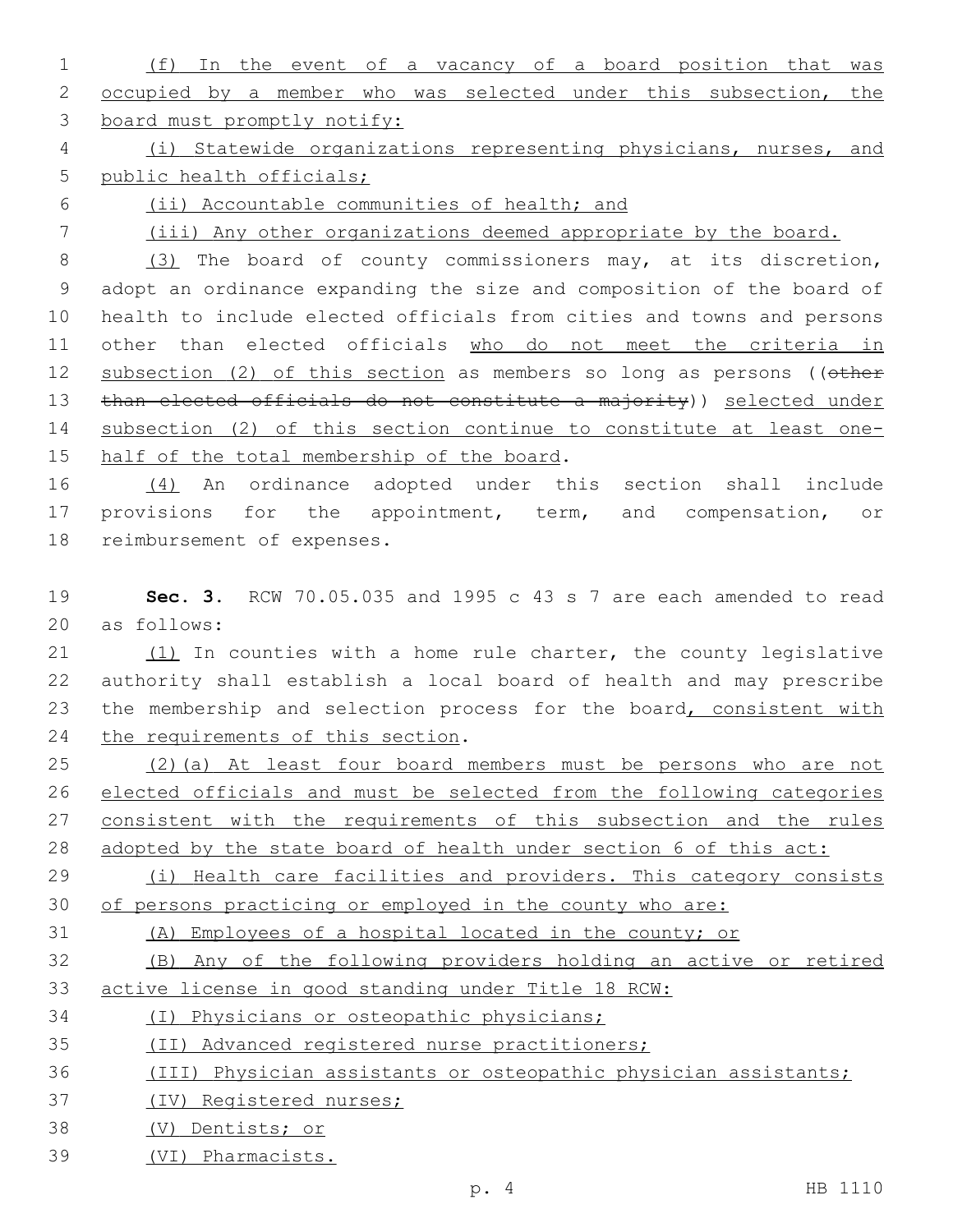| and the company of the company | (f) In the event of a vacancy of a board position that was                         |  |
|--------------------------------|------------------------------------------------------------------------------------|--|
|                                | 2 occupied by a member who was selected under this subsection, the                 |  |
|                                | 3 board must promptly notify:                                                      |  |
|                                | (i) Statewide organizations representing physicians, nurses, and<br>$\overline{4}$ |  |

public health officials;

(ii) Accountable communities of health; and

(iii) Any other organizations deemed appropriate by the board.

8 (3) The board of county commissioners may, at its discretion, adopt an ordinance expanding the size and composition of the board of health to include elected officials from cities and towns and persons other than elected officials who do not meet the criteria in 12 subsection (2) of this section as members so long as persons ((other 13 than elected officials do not constitute a majority)) selected under subsection (2) of this section continue to constitute at least one-15 half of the total membership of the board.

 (4) An ordinance adopted under this section shall include 17 provisions for the appointment, term, and compensation, or 18 reimbursement of expenses.

 **Sec. 3.** RCW 70.05.035 and 1995 c 43 s 7 are each amended to read 20 as follows:

 (1) In counties with a home rule charter, the county legislative authority shall establish a local board of health and may prescribe 23 the membership and selection process for the board, consistent with 24 the requirements of this section.

 (2)(a) At least four board members must be persons who are not elected officials and must be selected from the following categories 27 consistent with the requirements of this subsection and the rules adopted by the state board of health under section 6 of this act:

29 (i) Health care facilities and providers. This category consists of persons practicing or employed in the county who are:

## (A) Employees of a hospital located in the county; or

 (B) Any of the following providers holding an active or retired active license in good standing under Title 18 RCW:

(I) Physicians or osteopathic physicians;

(II) Advanced registered nurse practitioners;

## (III) Physician assistants or osteopathic physician assistants;

(IV) Registered nurses;

- (V) Dentists; or
- (VI) Pharmacists.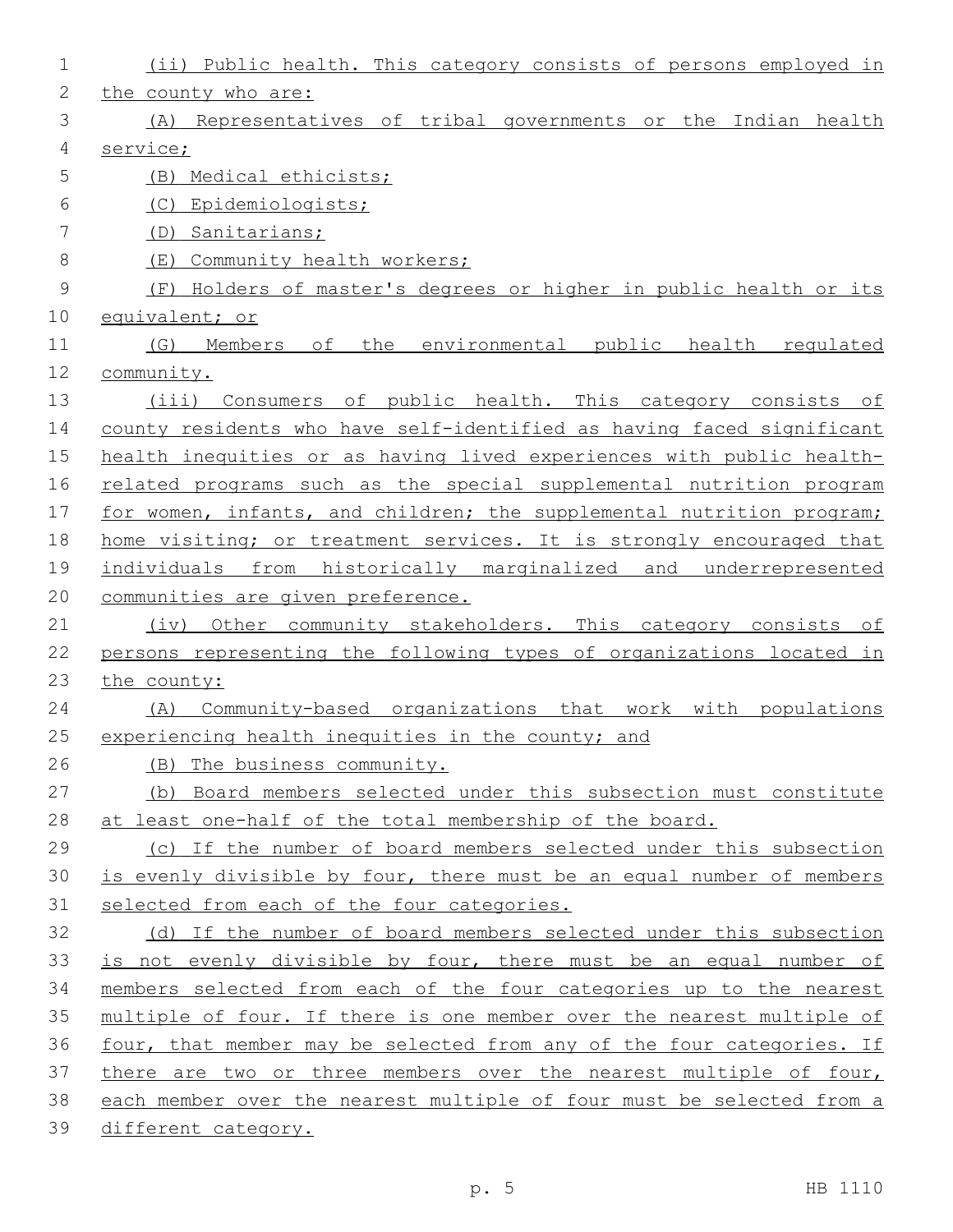| 1  | (ii) Public health. This category consists of persons employed in     |
|----|-----------------------------------------------------------------------|
| 2  | the county who are:                                                   |
| 3  | (A) Representatives of tribal governments or the Indian health        |
| 4  | service;                                                              |
| 5  | (B) Medical ethicists;                                                |
| 6  | Epidemiologists;<br>(C)                                               |
| 7  | (D) Sanitarians;                                                      |
| 8  | Community health workers;<br>( $E$ )                                  |
| 9  | (F) Holders of master's degrees or higher in public health or its     |
| 10 | equivalent; or                                                        |
| 11 | environmental public health requlated<br>(G)<br>Members of<br>the     |
| 12 | community.                                                            |
| 13 | (iii) Consumers of public health. This category consists of           |
| 14 | county residents who have self-identified as having faced significant |
| 15 | health inequities or as having lived experiences with public health-  |
| 16 | related programs such as the special supplemental nutrition program   |
| 17 | for women, infants, and children; the supplemental nutrition program; |
| 18 | home visiting; or treatment services. It is strongly encouraged that  |
| 19 | individuals from historically marginalized and underrepresented       |
| 20 | communities are given preference.                                     |
| 21 | (iv) Other community stakeholders. This category consists of          |
| 22 | persons representing the following types of organizations located in  |
| 23 | the county:                                                           |
| 24 | Community-based organizations that work with populations<br>(A)       |
| 25 | experiencing health inequities in the county; and                     |
| 26 | (B) The business community.                                           |
| 27 | (b) Board members selected under this subsection must constitute      |
| 28 | at least one-half of the total membership of the board.               |
| 29 | (c) If the number of board members selected under this subsection     |
| 30 | is evenly divisible by four, there must be an equal number of members |
| 31 | selected from each of the four categories.                            |
| 32 | (d) If the number of board members selected under this subsection     |
| 33 | is not evenly divisible by four, there must be an equal number of     |
| 34 | members selected from each of the four categories up to the nearest   |
| 35 | multiple of four. If there is one member over the nearest multiple of |
| 36 | four, that member may be selected from any of the four categories. If |
| 37 | there are two or three members over the nearest multiple of four,     |
| 38 | each member over the nearest multiple of four must be selected from a |
| 39 | different category.                                                   |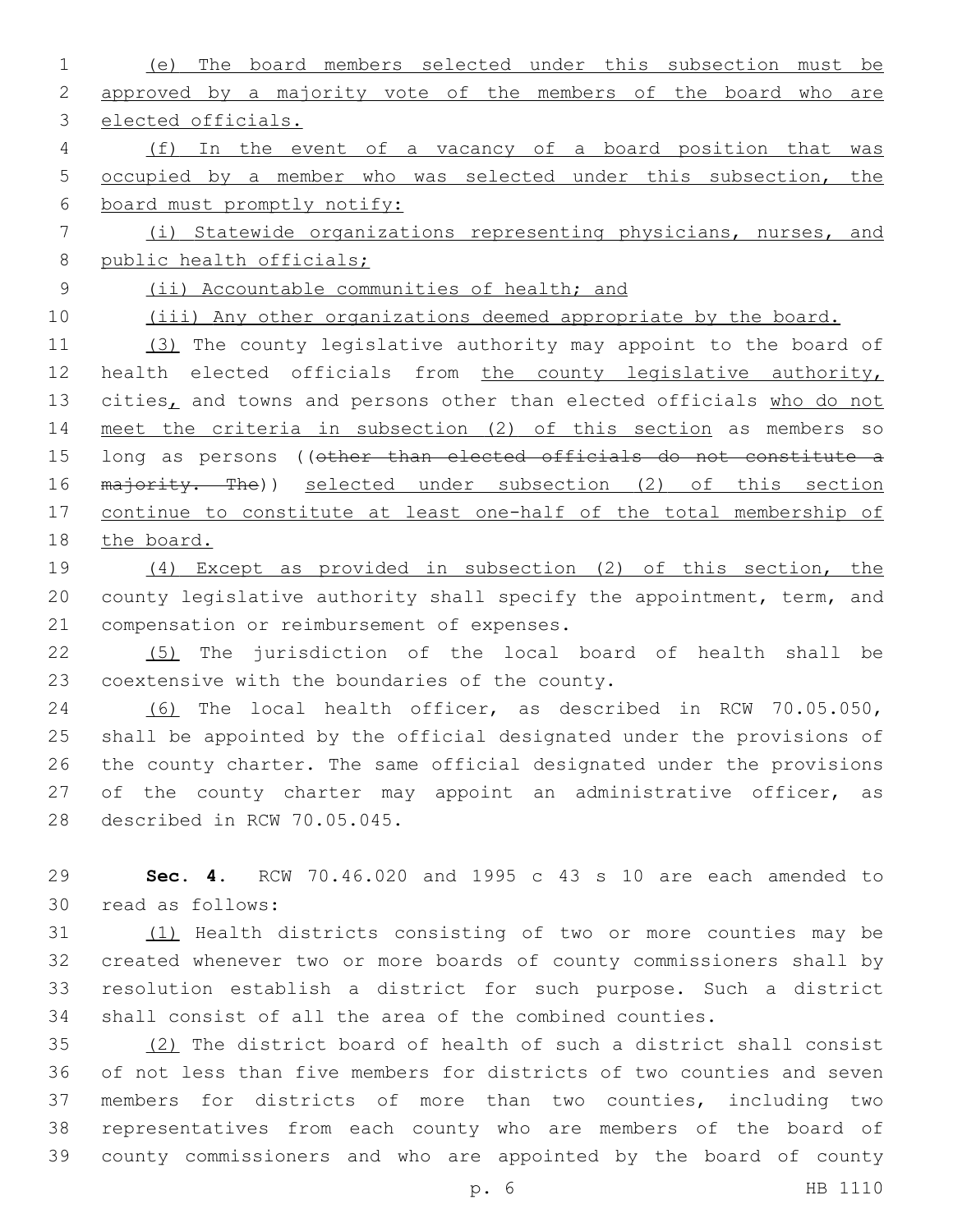(e) The board members selected under this subsection must be approved by a majority vote of the members of the board who are elected officials. (f) In the event of a vacancy of a board position that was occupied by a member who was selected under this subsection, the board must promptly notify: (i) Statewide organizations representing physicians, nurses, and 8 public health officials; (ii) Accountable communities of health; and 10 (iii) Any other organizations deemed appropriate by the board. (3) The county legislative authority may appoint to the board of health elected officials from the county legislative authority, 13 cities, and towns and persons other than elected officials who do not meet the criteria in subsection (2) of this section as members so 15 long as persons ((other than elected officials do not constitute a 16 majority. The)) selected under subsection (2) of this section continue to constitute at least one-half of the total membership of 18 the board. (4) Except as provided in subsection (2) of this section, the county legislative authority shall specify the appointment, term, and

21 compensation or reimbursement of expenses. (5) The jurisdiction of the local board of health shall be 23 coextensive with the boundaries of the county.

 (6) The local health officer, as described in RCW 70.05.050, shall be appointed by the official designated under the provisions of the county charter. The same official designated under the provisions of the county charter may appoint an administrative officer, as 28 described in RCW 70.05.045.

 **Sec. 4.** RCW 70.46.020 and 1995 c 43 s 10 are each amended to read as follows:30

 (1) Health districts consisting of two or more counties may be created whenever two or more boards of county commissioners shall by resolution establish a district for such purpose. Such a district shall consist of all the area of the combined counties.

 (2) The district board of health of such a district shall consist of not less than five members for districts of two counties and seven members for districts of more than two counties, including two representatives from each county who are members of the board of county commissioners and who are appointed by the board of county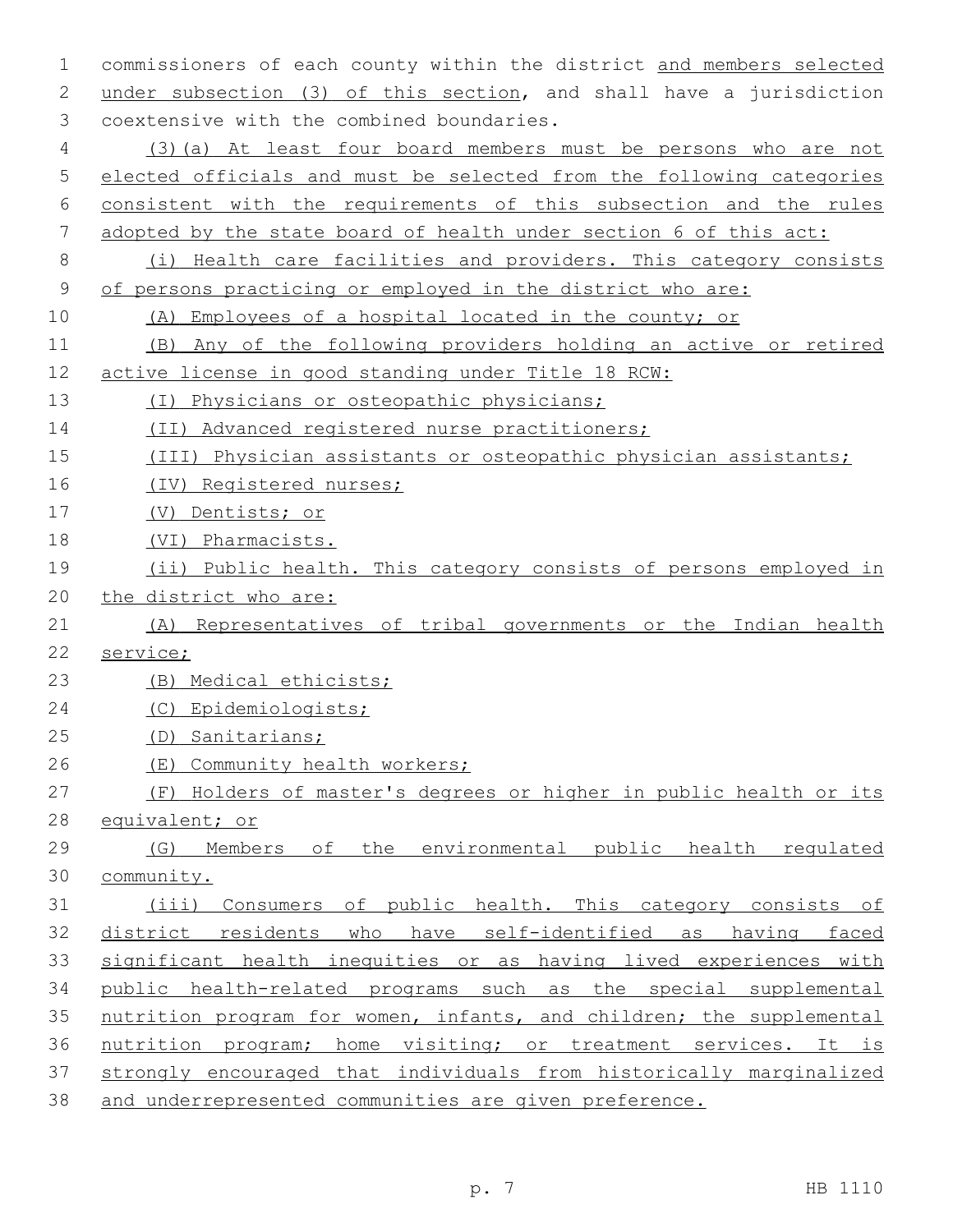commissioners of each county within the district and members selected under subsection (3) of this section, and shall have a jurisdiction 3 coextensive with the combined boundaries. (3)(a) At least four board members must be persons who are not elected officials and must be selected from the following categories consistent with the requirements of this subsection and the rules adopted by the state board of health under section 6 of this act: (i) Health care facilities and providers. This category consists of persons practicing or employed in the district who are: (A) Employees of a hospital located in the county; or (B) Any of the following providers holding an active or retired active license in good standing under Title 18 RCW: (I) Physicians or osteopathic physicians; (II) Advanced registered nurse practitioners; (III) Physician assistants or osteopathic physician assistants; (IV) Registered nurses; (V) Dentists; or (VI) Pharmacists. (ii) Public health. This category consists of persons employed in the district who are: (A) Representatives of tribal governments or the Indian health service; (B) Medical ethicists; (C) Epidemiologists; (D) Sanitarians; (E) Community health workers; (F) Holders of master's degrees or higher in public health or its equivalent; or (G) Members of the environmental public health regulated community. (iii) Consumers of public health. This category consists of district residents who have self-identified as having faced significant health inequities or as having lived experiences with public health-related programs such as the special supplemental nutrition program for women, infants, and children; the supplemental nutrition program; home visiting; or treatment services. It is strongly encouraged that individuals from historically marginalized and underrepresented communities are given preference.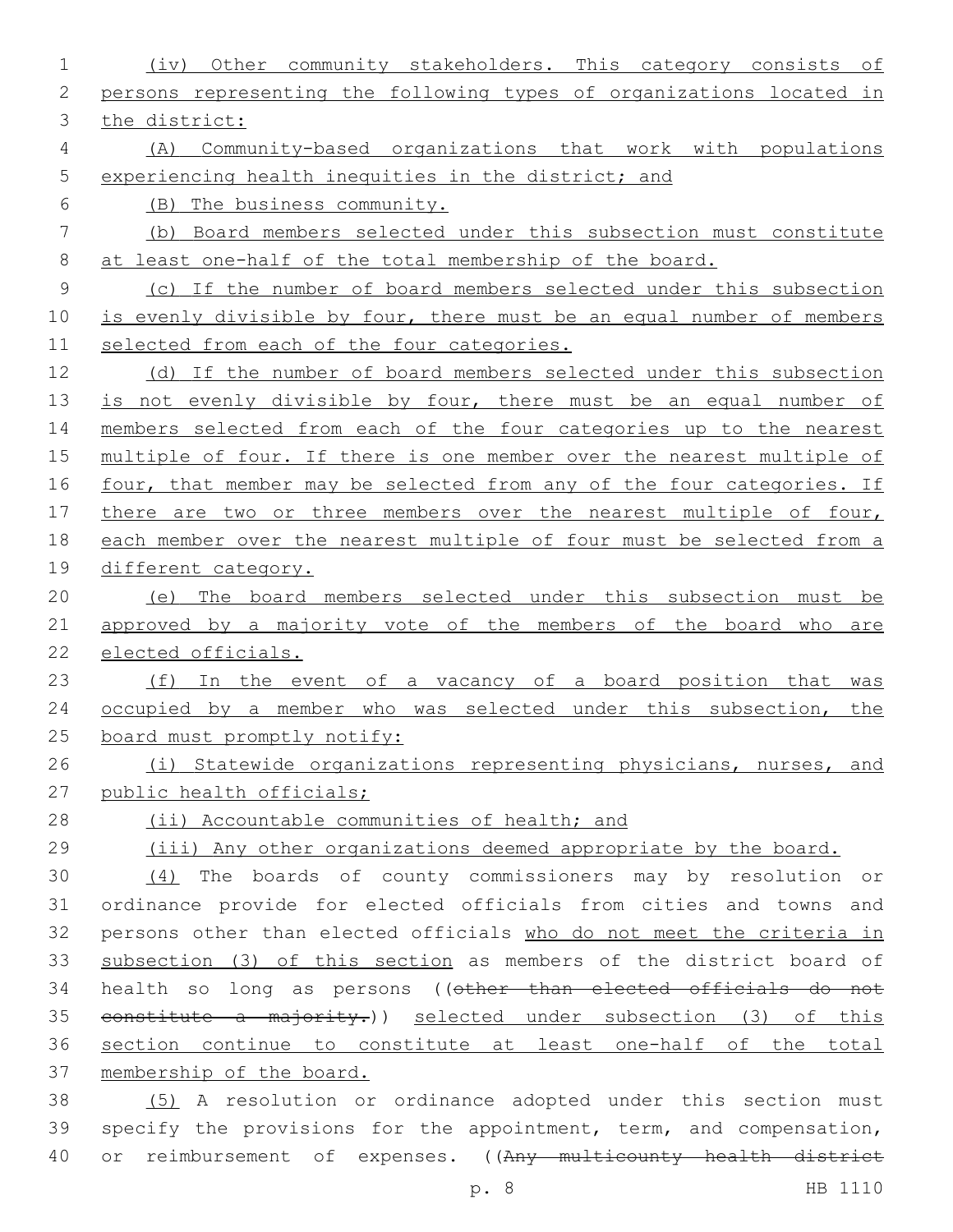(iv) Other community stakeholders. This category consists of persons representing the following types of organizations located in the district: (A) Community-based organizations that work with populations experiencing health inequities in the district; and (B) The business community. (b) Board members selected under this subsection must constitute at least one-half of the total membership of the board. (c) If the number of board members selected under this subsection 10 is evenly divisible by four, there must be an equal number of members selected from each of the four categories. (d) If the number of board members selected under this subsection 13 is not evenly divisible by four, there must be an equal number of members selected from each of the four categories up to the nearest multiple of four. If there is one member over the nearest multiple of 16 four, that member may be selected from any of the four categories. If 17 there are two or three members over the nearest multiple of four, each member over the nearest multiple of four must be selected from a different category. (e) The board members selected under this subsection must be 21 approved by a majority vote of the members of the board who are elected officials. 23 (f) In the event of a vacancy of a board position that was 24 occupied by a member who was selected under this subsection, the 25 board must promptly notify: (i) Statewide organizations representing physicians, nurses, and public health officials; (ii) Accountable communities of health; and (iii) Any other organizations deemed appropriate by the board. (4) The boards of county commissioners may by resolution or ordinance provide for elected officials from cities and towns and persons other than elected officials who do not meet the criteria in subsection (3) of this section as members of the district board of health so long as persons ((other than elected officials do not 35 constitute a majority.)) selected under subsection (3) of this section continue to constitute at least one-half of the total membership of the board. (5) A resolution or ordinance adopted under this section must specify the provisions for the appointment, term, and compensation, 40 or reimbursement of expenses. ((Any multicounty health district

p. 8 HB 1110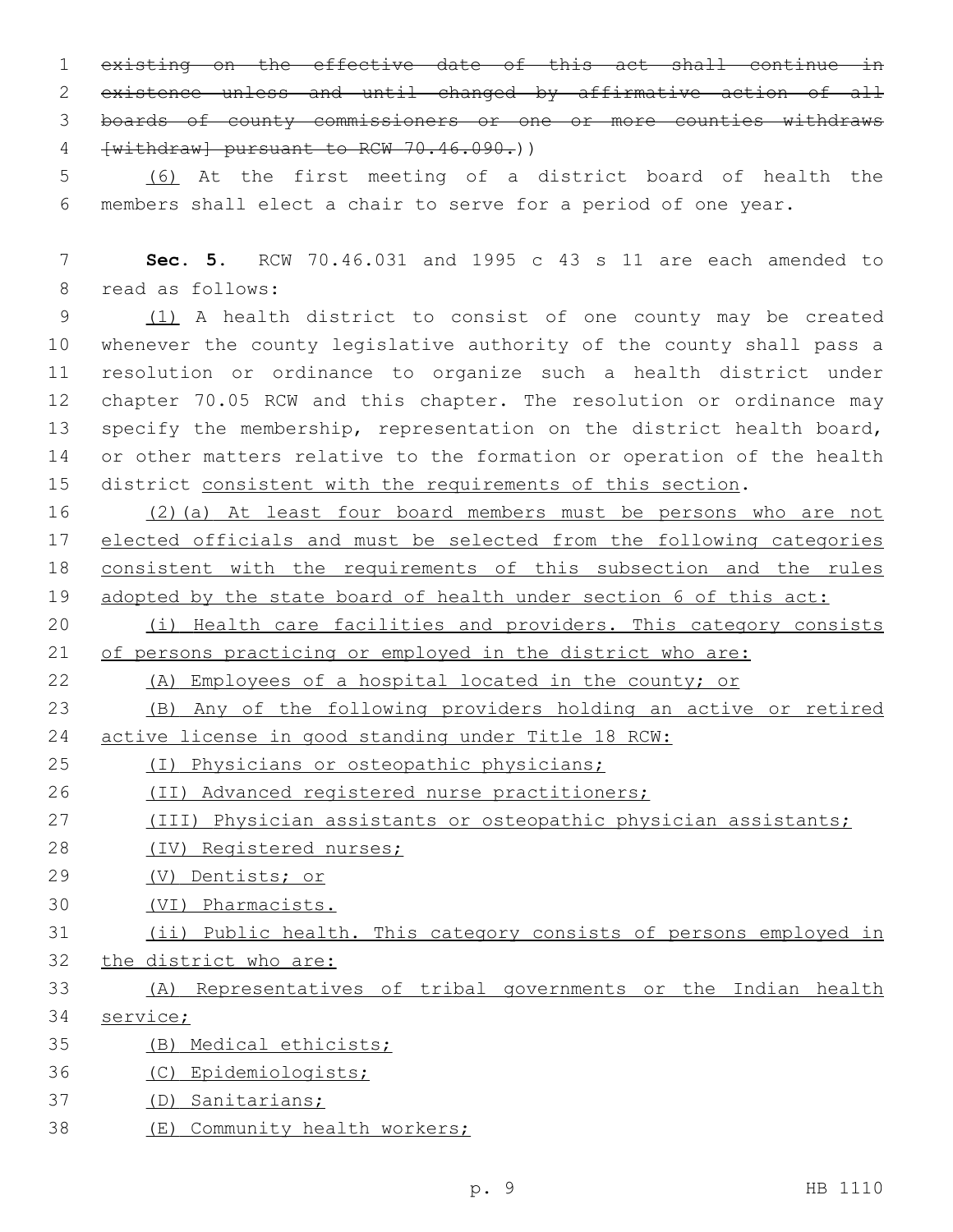existing on the effective date of this act shall continue in existence unless and until changed by affirmative action of all boards of county commissioners or one or more counties withdraws 4 [withdraw] pursuant to RCW 70.46.090.))

 (6) At the first meeting of a district board of health the members shall elect a chair to serve for a period of one year.

 **Sec. 5.** RCW 70.46.031 and 1995 c 43 s 11 are each amended to 8 read as follows:

 (1) A health district to consist of one county may be created whenever the county legislative authority of the county shall pass a resolution or ordinance to organize such a health district under chapter 70.05 RCW and this chapter. The resolution or ordinance may 13 specify the membership, representation on the district health board, or other matters relative to the formation or operation of the health district consistent with the requirements of this section.

 (2)(a) At least four board members must be persons who are not elected officials and must be selected from the following categories consistent with the requirements of this subsection and the rules adopted by the state board of health under section 6 of this act:

20 (i) Health care facilities and providers. This category consists of persons practicing or employed in the district who are:

(A) Employees of a hospital located in the county; or

 (B) Any of the following providers holding an active or retired active license in good standing under Title 18 RCW:

(I) Physicians or osteopathic physicians;

(II) Advanced registered nurse practitioners;

(III) Physician assistants or osteopathic physician assistants;

- (IV) Registered nurses;
- (V) Dentists; or
- (VI) Pharmacists.

| 31 \ |  |                          |  |  |  | (ii) Public health. This category consists of persons employed in |  |
|------|--|--------------------------|--|--|--|-------------------------------------------------------------------|--|
|      |  | 32 the district who are: |  |  |  |                                                                   |  |

 (A) Representatives of tribal governments or the Indian health service;

- (B) Medical ethicists;
- (C) Epidemiologists;
- (D) Sanitarians;
- (E) Community health workers;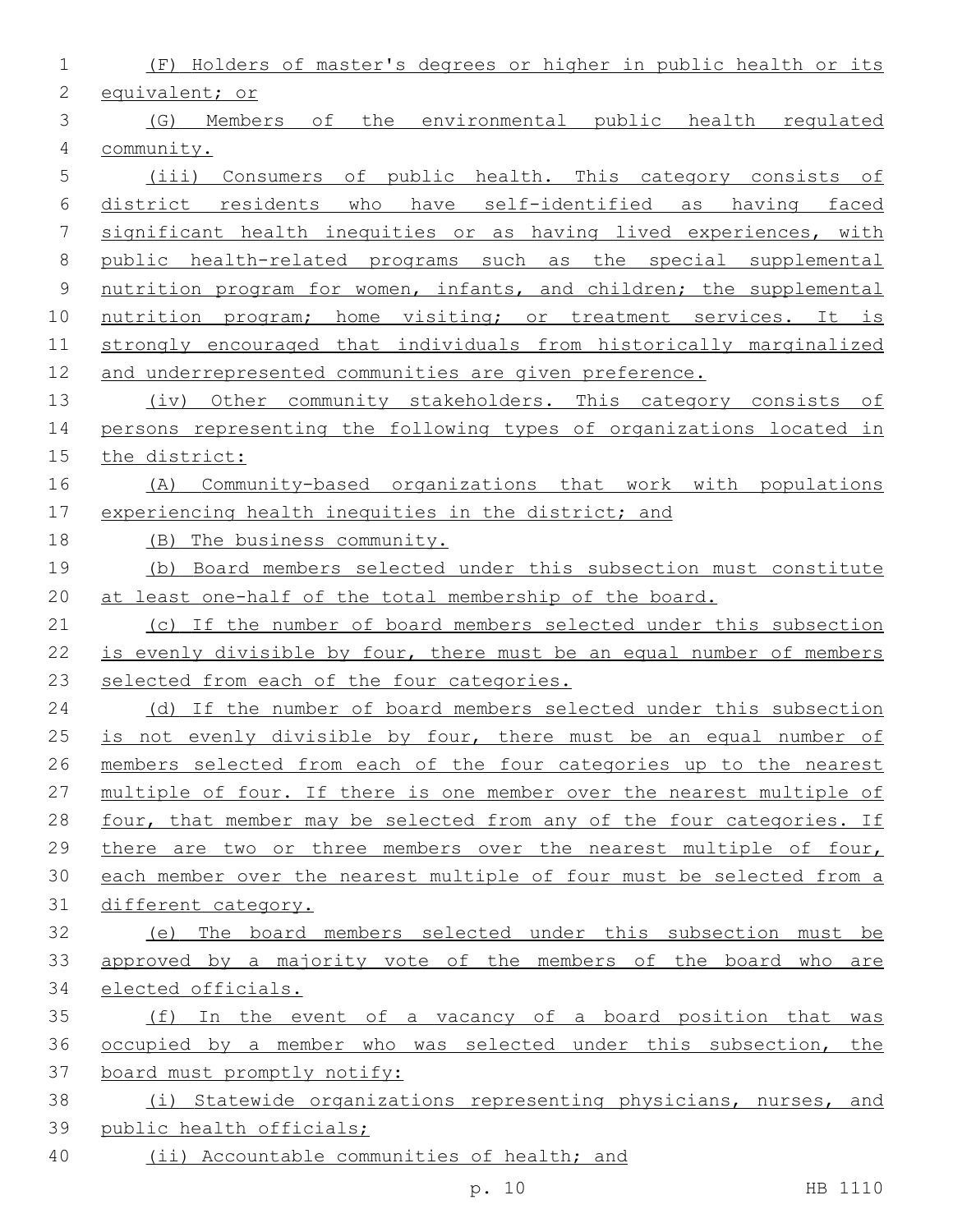| 1           | Holders of master's degrees or higher in public health or its<br>(F)  |
|-------------|-----------------------------------------------------------------------|
| 2           | equivalent; or                                                        |
| 3           | environmental public health regulated<br>(G)<br>Members of<br>the     |
| 4           | community.                                                            |
| 5           | Consumers of public health. This category consists of<br>(iii)        |
| 6           | district residents who have self-identified as having faced           |
| 7           | significant health inequities or as having lived experiences, with    |
| 8           | public health-related programs such as the special supplemental       |
| $\mathsf 9$ | nutrition program for women, infants, and children; the supplemental  |
| 10          | nutrition program; home visiting; or treatment services. It is        |
| 11          | strongly encouraged that individuals from historically marginalized   |
| 12          | and underrepresented communities are given preference.                |
| 13          | (iv) Other community stakeholders. This category consists of          |
| 14          | persons representing the following types of organizations located in  |
| 15          | the district:                                                         |
| 16          | Community-based organizations that work with populations<br>(A)       |
| 17          | experiencing health inequities in the district; and                   |
| 18          | (B) The business community.                                           |
| 19          | (b) Board members selected under this subsection must constitute      |
| 20          | at least one-half of the total membership of the board.               |
| 21          | (c) If the number of board members selected under this subsection     |
| 22          | is evenly divisible by four, there must be an equal number of members |
| 23          | selected from each of the four categories.                            |
| 24          | (d) If the number of board members selected under this subsection     |
| 25          | is not evenly divisible by four, there must be an equal number of     |
| 26          | members selected from each of the four categories up to the nearest   |
| 27          | multiple of four. If there is one member over the nearest multiple of |
| 28          | four, that member may be selected from any of the four categories. If |
| 29          | there are two or three members over the nearest multiple of four,     |
| 30          | each member over the nearest multiple of four must be selected from a |
| 31          | different category.                                                   |
| 32          | (e) The board members selected under this subsection must be          |
| 33          | approved by a majority vote of the members of the board who are       |
| 34          | elected officials.                                                    |
| 35          | (f) In the event of a vacancy of a board position that was            |
| 36          | occupied by a member who was selected under this subsection, the      |
| 37          | board must promptly notify:                                           |
| 38          | (i) Statewide organizations representing physicians, nurses, and      |
| 39          | public health officials;                                              |
| 40          | (ii) Accountable communities of health; and                           |